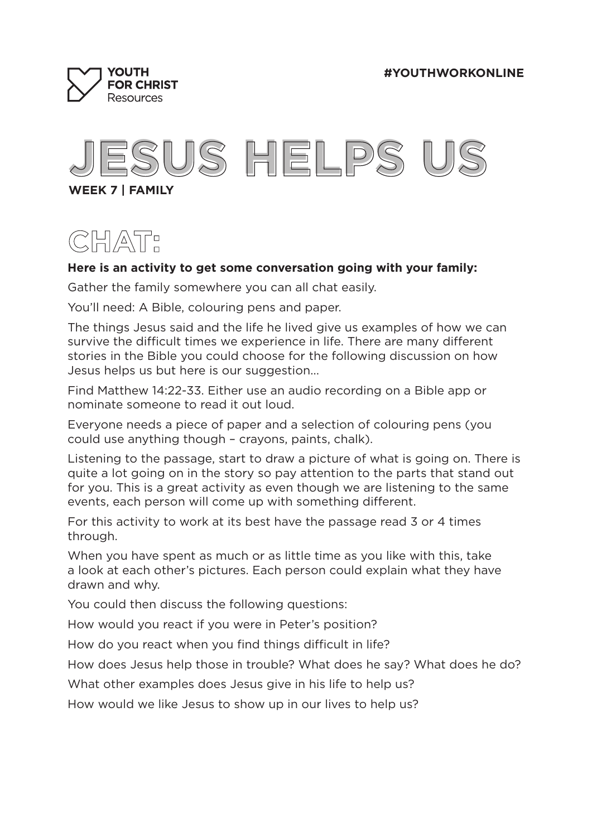**#YOUTHWORKONLINE**





**WEEK 7 | FAMILY**

# **CHAT:**

### **Here is an activity to get some conversation going with your family:**

Gather the family somewhere you can all chat easily.

You'll need: A Bible, colouring pens and paper.

The things Jesus said and the life he lived give us examples of how we can survive the difficult times we experience in life. There are many different stories in the Bible you could choose for the following discussion on how Jesus helps us but here is our suggestion...

Find Matthew 14:22-33. Either use an audio recording on a Bible app or nominate someone to read it out loud.

Everyone needs a piece of paper and a selection of colouring pens (you could use anything though – crayons, paints, chalk).

Listening to the passage, start to draw a picture of what is going on. There is quite a lot going on in the story so pay attention to the parts that stand out for you. This is a great activity as even though we are listening to the same events, each person will come up with something different.

For this activity to work at its best have the passage read 3 or 4 times through.

When you have spent as much or as little time as you like with this, take a look at each other's pictures. Each person could explain what they have drawn and why.

You could then discuss the following questions:

How would you react if you were in Peter's position?

How do you react when you find things difficult in life?

How does Jesus help those in trouble? What does he say? What does he do?

What other examples does Jesus give in his life to help us?

How would we like Jesus to show up in our lives to help us?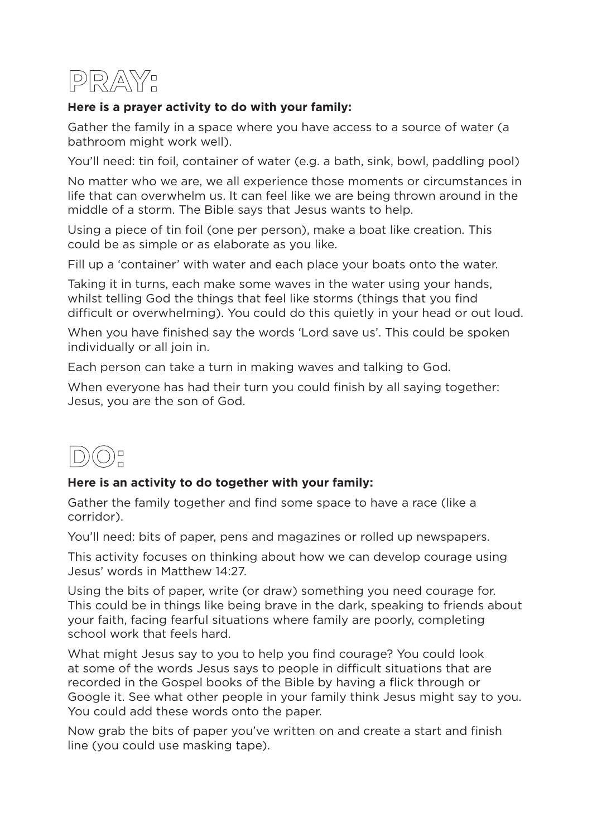

## **Here is a prayer activity to do with your family:**

Gather the family in a space where you have access to a source of water (a bathroom might work well).

You'll need: tin foil, container of water (e.g. a bath, sink, bowl, paddling pool)

No matter who we are, we all experience those moments or circumstances in life that can overwhelm us. It can feel like we are being thrown around in the middle of a storm. The Bible says that Jesus wants to help.

Using a piece of tin foil (one per person), make a boat like creation. This could be as simple or as elaborate as you like.

Fill up a 'container' with water and each place your boats onto the water.

Taking it in turns, each make some waves in the water using your hands, whilst telling God the things that feel like storms (things that you find difficult or overwhelming). You could do this quietly in your head or out loud.

When you have finished say the words 'Lord save us'. This could be spoken individually or all join in.

Each person can take a turn in making waves and talking to God.

When everyone has had their turn you could finish by all saying together: Jesus, you are the son of God.



# **Here is an activity to do together with your family:**

Gather the family together and find some space to have a race (like a corridor).

You'll need: bits of paper, pens and magazines or rolled up newspapers.

This activity focuses on thinking about how we can develop courage using Jesus' words in Matthew 14:27.

Using the bits of paper, write (or draw) something you need courage for. This could be in things like being brave in the dark, speaking to friends about your faith, facing fearful situations where family are poorly, completing school work that feels hard.

What might Jesus say to you to help you find courage? You could look at some of the words Jesus says to people in difficult situations that are recorded in the Gospel books of the Bible by having a flick through or Google it. See what other people in your family think Jesus might say to you. You could add these words onto the paper.

Now grab the bits of paper you've written on and create a start and finish line (you could use masking tape).